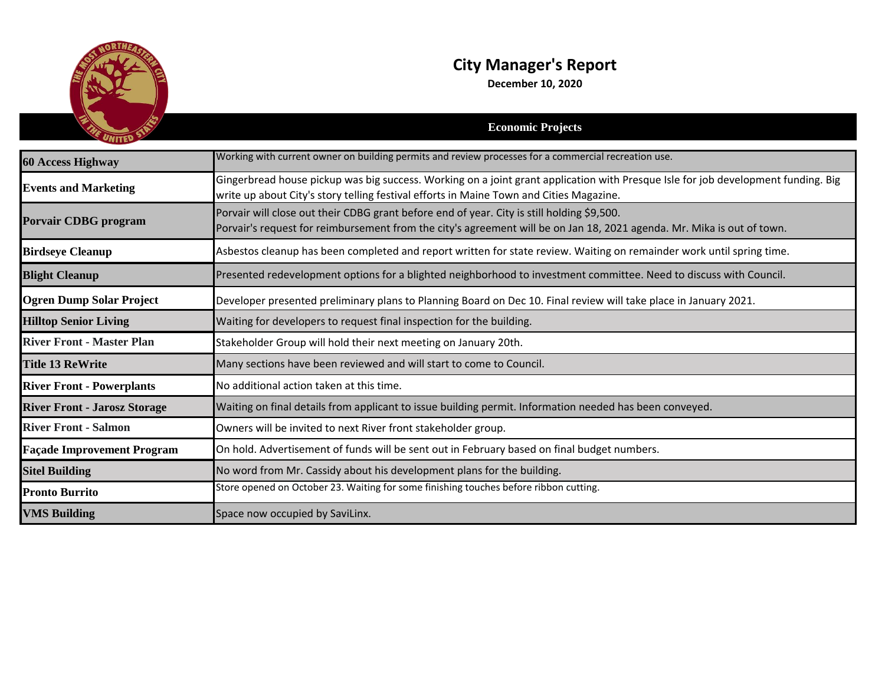

## **City Manager's Report**

**December 10, 2020**

|                                     | <b>Economic Projects</b>                                                                                                                                                                                                     |
|-------------------------------------|------------------------------------------------------------------------------------------------------------------------------------------------------------------------------------------------------------------------------|
| <b>60 Access Highway</b>            | Working with current owner on building permits and review processes for a commercial recreation use.                                                                                                                         |
| <b>Events and Marketing</b>         | Gingerbread house pickup was big success. Working on a joint grant application with Presque Isle for job development funding. Big<br>write up about City's story telling festival efforts in Maine Town and Cities Magazine. |
| <b>Porvair CDBG</b> program         | Porvair will close out their CDBG grant before end of year. City is still holding \$9,500.<br>Porvair's request for reimbursement from the city's agreement will be on Jan 18, 2021 agenda. Mr. Mika is out of town.         |
| <b>Birdseye Cleanup</b>             | Asbestos cleanup has been completed and report written for state review. Waiting on remainder work until spring time.                                                                                                        |
| <b>Blight Cleanup</b>               | Presented redevelopment options for a blighted neighborhood to investment committee. Need to discuss with Council.                                                                                                           |
| <b>Ogren Dump Solar Project</b>     | Developer presented preliminary plans to Planning Board on Dec 10. Final review will take place in January 2021.                                                                                                             |
| <b>Hilltop Senior Living</b>        | Waiting for developers to request final inspection for the building.                                                                                                                                                         |
| <b>River Front - Master Plan</b>    | Stakeholder Group will hold their next meeting on January 20th.                                                                                                                                                              |
| <b>Title 13 ReWrite</b>             | Many sections have been reviewed and will start to come to Council.                                                                                                                                                          |
| <b>River Front - Powerplants</b>    | No additional action taken at this time.                                                                                                                                                                                     |
| <b>River Front - Jarosz Storage</b> | Waiting on final details from applicant to issue building permit. Information needed has been conveyed.                                                                                                                      |
| <b>River Front - Salmon</b>         | Owners will be invited to next River front stakeholder group.                                                                                                                                                                |
| <b>Façade Improvement Program</b>   | On hold. Advertisement of funds will be sent out in February based on final budget numbers.                                                                                                                                  |
| <b>Sitel Building</b>               | No word from Mr. Cassidy about his development plans for the building.                                                                                                                                                       |
| <b>Pronto Burrito</b>               | Store opened on October 23. Waiting for some finishing touches before ribbon cutting.                                                                                                                                        |
| <b>VMS Building</b>                 | Space now occupied by SaviLinx.                                                                                                                                                                                              |